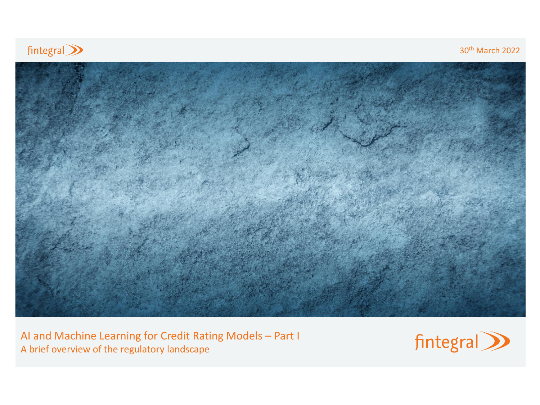

30th March 2022



AI and Machine Learning for Credit Rating Models – Part I A brief overview of the regulatory landscape

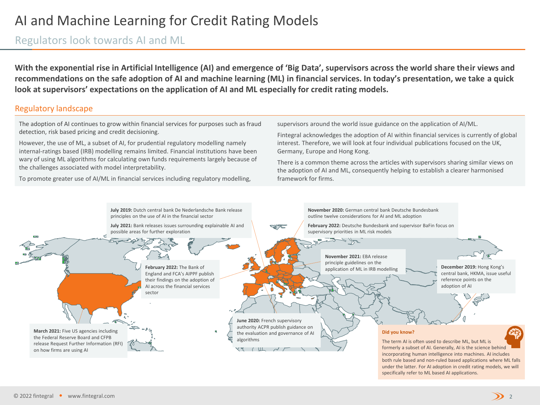### Regulators look towards AI and ML

**With the exponential rise in Artificial Intelligence (AI) and emergence of 'Big Data', supervisors across the world share their views and recommendations on the safe adoption of AI and machine learning (ML) in financial services. In today's presentation, we take a quick look at supervisors' expectations on the application of AI and ML especially for credit rating models.**

#### Regulatory landscape

The adoption of AI continues to grow within financial services for purposes such as fraud detection, risk based pricing and credit decisioning.

However, the use of ML, a subset of AI, for prudential regulatory modelling namely internal-ratings based (IRB) modelling remains limited. Financial institutions have been wary of using ML algorithms for calculating own funds requirements largely because of the challenges associated with model interpretability.

To promote greater use of AI/ML in financial services including regulatory modelling,

supervisors around the world issue guidance on the application of AI/ML.

Fintegral acknowledges the adoption of AI within financial services is currently of global interest. Therefore, we will look at four individual publications focused on the UK, Germany, Europe and Hong Kong.

There is a common theme across the articles with supervisors sharing similar views on the adoption of AI and ML, consequently helping to establish a clearer harmonised framework for firms.

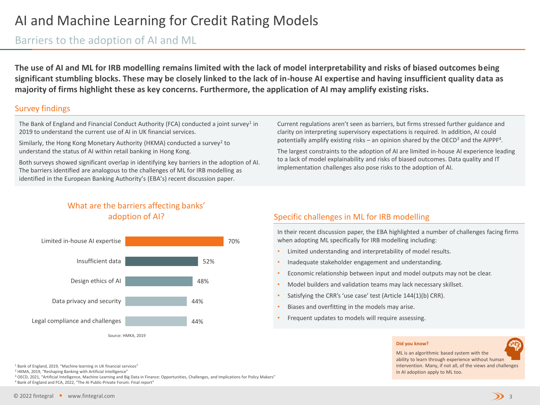### Barriers to the adoption of AI and ML

**The use of AI and ML for IRB modelling remains limited with the lack of model interpretability and risks of biased outcomes being significant stumbling blocks. These may be closely linked to the lack of in-house AI expertise and having insufficient quality data as majority of firms highlight these as key concerns. Furthermore, the application of AI may amplify existing risks.**

#### Survey findings

The Bank of England and Financial Conduct Authority (FCA) conducted a joint survey<sup>1</sup> in 2019 to understand the current use of AI in UK financial services.

Similarly, the Hong Kong Monetary Authority (HKMA) conducted a survey<sup>2</sup> to understand the status of AI within retail banking in Hong Kong.

Both surveys showed significant overlap in identifying key barriers in the adoption of AI. The barriers identified are analogous to the challenges of ML for IRB modelling as identified in the European Banking Authority's (EBA's) recent discussion paper.

Current regulations aren't seen as barriers, but firms stressed further guidance and clarity on interpreting supervisory expectations is required. In addition, AI could potentially amplify existing risks - an opinion shared by the OECD<sup>3</sup> and the AIPPF<sup>4</sup>.

The largest constraints to the adoption of AI are limited in-house AI experience leading to a lack of model explainability and risks of biased outcomes. Data quality and IT implementation challenges also pose risks to the adoption of AI.

### What are the barriers affecting banks' adoption of AI?



### Specific challenges in ML for IRB modelling

In their recent discussion paper, the EBA highlighted a number of challenges facing firms when adopting ML specifically for IRB modelling including:

- Limited understanding and interpretability of model results.
- Inadequate stakeholder engagement and understanding.
- Economic relationship between input and model outputs may not be clear.
- Model builders and validation teams may lack necessary skillset.
- Satisfying the CRR's 'use case' test (Article 144(1)(b) CRR).
- Biases and overfitting in the models may arise.
- Frequent updates to models will require assessing.

#### **Did you know?**



ML is an algorithmic based system with the ability to learn through experience without human intervention. Many, if not all, of the views and challenges in AI adoption apply to ML too.

#### <sup>1</sup> Bank of England, 2019, "Machine learning in UK financial services"

<sup>2</sup> HKMA, 2019, "Reshaping Banking with Artificial Intelligence"

<sup>3</sup> OECD, 2021, "Artificial Intelligence, Machine Learning and Big Data in Finance: Opportunities, Challenges, and Implications for Policy Makers" <sup>4</sup> Bank of England and FCA, 2022, "The AI Public-Private Forum: Final report"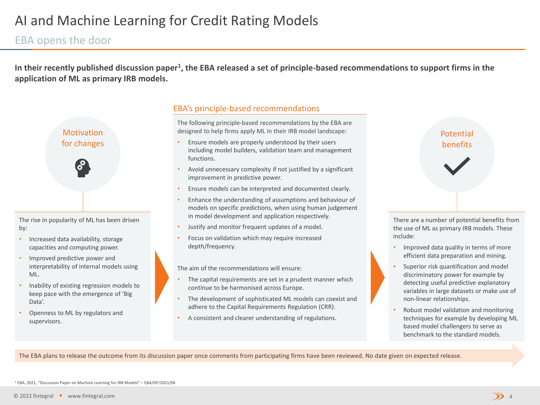### EBA opens the door

In their recently published discussion paper<sup>1</sup>, the EBA released a set of principle-based recommendations to support firms in the **application of ML as primary IRB models.**



The rise in popularity of ML has been driven by:

- Increased data availability, storage capacities and computing power.
- Improved predictive power and interpretability of internal models using ML.
- Inability of existing regression models to keep pace with the emergence of 'Big Data'.
- Openness to ML by regulators and supervisors.

#### EBA's principle-based recommendations

The following principle-based recommendations by the EBA are designed to help firms apply ML in their IRB model landscape:

- Ensure models are properly understood by their users including model builders, validation team and management functions.
- Avoid unnecessary complexity if not justified by a significant improvement in predictive power.
- Ensure models can be interpreted and documented clearly.
- Enhance the understanding of assumptions and behaviour of models on specific predictions, when using human judgement in model development and application respectively.
- Justify and monitor frequent updates of a model.
- Focus on validation which may require increased depth/frequency.

The aim of the recommendations will ensure:

- The capital requirements are set in a prudent manner which continue to be harmonised across Europe.
- The development of sophisticated ML models can coexist and adhere to the Capital Requirements Regulation (CRR).
- A consistent and clearer understanding of regulations.



There are a number of potential benefits from the use of ML as primary IRB models. These include:

- Improved data quality in terms of more efficient data preparation and mining.
- Superior risk quantification and model discriminatory power for example by detecting useful predictive explanatory variables in large datasets or make use of non-linear relationships.
- Robust model validation and monitoring techniques for example by developing ML based model challengers to serve as benchmark to the standard models.

The EBA plans to release the outcome from its discussion paper once comments from participating firms have been reviewed. No date given on expected release.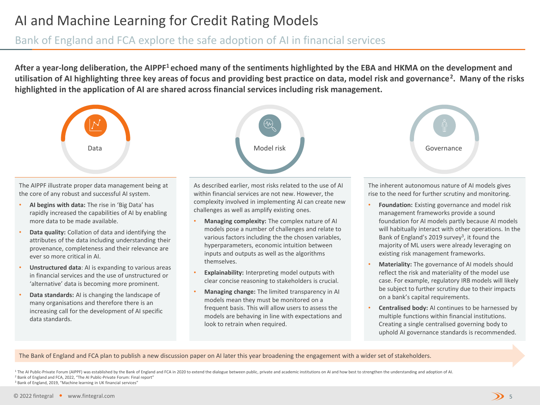Bank of England and FCA explore the safe adoption of AI in financial services

**After a year-long deliberation, the AIPPF<sup>1</sup>echoed many of the sentiments highlighted by the EBA and HKMA on the development and utilisation of AI highlighting three key areas of focus and providing best practice on data, model risk and governance<sup>2</sup> . Many of the risks highlighted in the application of AI are shared across financial services including risk management.**



The AIPPF illustrate proper data management being at the core of any robust and successful AI system.

- **AI begins with data:** The rise in 'Big Data' has rapidly increased the capabilities of AI by enabling more data to be made available.
- **Data quality:** Collation of data and identifying the attributes of the data including understanding their provenance, completeness and their relevance are ever so more critical in AI.
- **Unstructured data**: AI is expanding to various areas in financial services and the use of unstructured or 'alternative' data is becoming more prominent.
- **Data standards:** AI is changing the landscape of many organisations and therefore there is an increasing call for the development of AI specific data standards.

As described earlier, most risks related to the use of AI within financial services are not new. However, the complexity involved in implementing AI can create new challenges as well as amplify existing ones.

- **Managing complexity:** The complex nature of AI models pose a number of challenges and relate to various factors including the the chosen variables, hyperparameters, economic intuition between inputs and outputs as well as the algorithms themselves.
- **Explainability:** Interpreting model outputs with clear concise reasoning to stakeholders is crucial.
- **Managing change:** The limited transparency in AI models mean they must be monitored on a frequent basis. This will allow users to assess the models are behaving in line with expectations and look to retrain when required.

The inherent autonomous nature of AI models gives rise to the need for further scrutiny and monitoring.

- **Foundation:** Existing governance and model risk management frameworks provide a sound foundation for AI models partly because AI models will habitually interact with other operations. In the Bank of England's 2019 survey<sup>3</sup>, it found the majority of ML users were already leveraging on existing risk management frameworks.
- **Materiality:** The governance of AI models should reflect the risk and materiality of the model use case. For example, regulatory IRB models will likely be subject to further scrutiny due to their impacts on a bank's capital requirements.
- **Centralised body:** AI continues to be harnessed by multiple functions within financial institutions. Creating a single centralised governing body to uphold AI governance standards is recommended.

The Bank of England and FCA plan to publish a new discussion paper on AI later this year broadening the engagement with a wider set of stakeholders.

<sup>1</sup> The AI Public-Private Forum (AIPPF) was established by the Bank of England and FCA in 2020 to extend the dialogue between public, private and academic institutions on AI and how best to strengthen the understanding and <sup>2</sup> Bank of England and FCA, 2022, "The AI Public-Private Forum: Final report" <sup>3</sup> Bank of England, 2019, "Machine learning in UK financial services"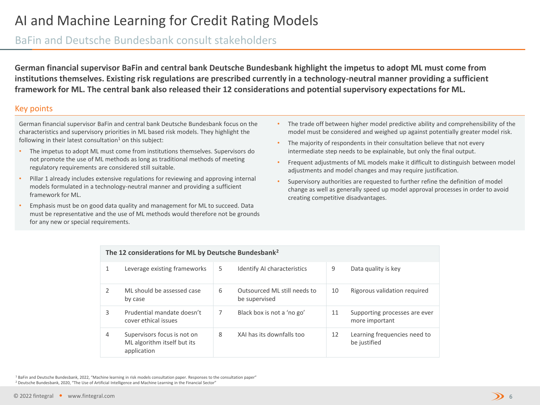### BaFin and Deutsche Bundesbank consult stakeholders

**German financial supervisor BaFin and central bank Deutsche Bundesbank highlight the impetus to adopt ML must come from institutions themselves. Existing risk regulations are prescribed currently in a technology-neutral manner providing a sufficient framework for ML. The central bank also released their 12 considerations and potential supervisory expectations for ML.**

#### Key points

German financial supervisor BaFin and central bank Deutsche Bundesbank focus on the characteristics and supervisory priorities in ML based risk models. They highlight the following in their latest consultation $1$  on this subject:

- The impetus to adopt ML must come from institutions themselves. Supervisors do not promote the use of ML methods as long as traditional methods of meeting regulatory requirements are considered still suitable.
- Pillar 1 already includes extensive regulations for reviewing and approving internal models formulated in a technology-neutral manner and providing a sufficient framework for ML.
- Emphasis must be on good data quality and management for ML to succeed. Data must be representative and the use of ML methods would therefore not be grounds for any new or special requirements.
- The trade off between higher model predictive ability and comprehensibility of the model must be considered and weighed up against potentially greater model risk.
- The majority of respondents in their consultation believe that not every intermediate step needs to be explainable, but only the final output.
- Frequent adjustments of ML models make it difficult to distinguish between model adjustments and model changes and may require justification.
- Supervisory authorities are requested to further refine the definition of model change as well as generally speed up model approval processes in order to avoid creating competitive disadvantages.

|   | The 12 considerations for ML by Deutsche Bundesbank <sup>2</sup>          |    |                                               |    |                                                 |  |  |  |
|---|---------------------------------------------------------------------------|----|-----------------------------------------------|----|-------------------------------------------------|--|--|--|
| 1 | Leverage existing frameworks                                              | 5. | <b>Identify AI characteristics</b>            | 9  | Data quality is key                             |  |  |  |
| 2 | ML should be assessed case<br>by case                                     | 6  | Outsourced ML still needs to<br>be supervised | 10 | Rigorous validation required                    |  |  |  |
| 3 | Prudential mandate doesn't<br>cover ethical issues                        | 7  | Black box is not a 'no go'                    | 11 | Supporting processes are ever<br>more important |  |  |  |
| 4 | Supervisors focus is not on<br>ML algorithm itself but its<br>application | 8  | XAI has its downfalls too                     | 12 | Learning frequencies need to<br>be justified    |  |  |  |

<sup>1</sup> BaFin and Deutsche Bundesbank, 2022, "Machine learning in risk models consultation paper. Responses to the consultation paper" <sup>2</sup> Deutsche Bundesbank, 2020, "The Use of Artificial Intelligence and Machine Learning in the Financial Sector"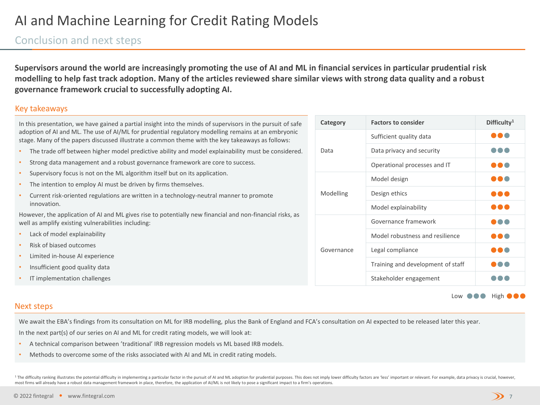### Conclusion and next steps

**Supervisors around the world are increasingly promoting the use of AI and ML in financial services in particular prudential risk modelling to help fast track adoption. Many of the articles reviewed share similar views with strong data quality and a robust governance framework crucial to successfully adopting AI.** 

#### Key takeaways

| In this presentation, we have gained a partial insight into the minds of supervisors in the pursuit of safe                                                                                             |                                                                                                        |            |  |
|---------------------------------------------------------------------------------------------------------------------------------------------------------------------------------------------------------|--------------------------------------------------------------------------------------------------------|------------|--|
| adoption of AI and ML. The use of AI/ML for prudential regulatory modelling remains at an embryonic<br>stage. Many of the papers discussed illustrate a common theme with the key takeaways as follows: |                                                                                                        |            |  |
| $\bullet$                                                                                                                                                                                               | The trade off between higher model predictive ability and model explainability must be considered.     | Data       |  |
| $\bullet$                                                                                                                                                                                               | Strong data management and a robust governance framework are core to success.                          |            |  |
| $\bullet$                                                                                                                                                                                               | Supervisory focus is not on the ML algorithm itself but on its application.                            |            |  |
| $\bullet$                                                                                                                                                                                               | The intention to employ AI must be driven by firms themselves.                                         |            |  |
| $\bullet$                                                                                                                                                                                               | Current risk-oriented regulations are written in a technology-neutral manner to promote<br>innovation. |            |  |
| However, the application of AI and ML gives rise to potentially new financial and non-financial risks, as<br>well as amplify existing vulnerabilities including:                                        |                                                                                                        |            |  |
| ٠                                                                                                                                                                                                       | Lack of model explainability                                                                           |            |  |
| $\bullet$                                                                                                                                                                                               | Risk of biased outcomes                                                                                | Governance |  |
| $\bullet$                                                                                                                                                                                               | Limited in-house AI experience                                                                         |            |  |
| $\bullet$                                                                                                                                                                                               | Insufficient good quality data                                                                         |            |  |
| $\bullet$                                                                                                                                                                                               | IT implementation challenges                                                                           |            |  |

| Category   | <b>Factors to consider</b>        | Difficulty <sup>1</sup> |
|------------|-----------------------------------|-------------------------|
|            | Sufficient quality data           |                         |
| Data       | Data privacy and security         |                         |
|            | Operational processes and IT      |                         |
|            | Model design                      |                         |
| Modelling  | Design ethics                     |                         |
|            | Model explainability              |                         |
|            | Governance framework              |                         |
|            | Model robustness and resilience   |                         |
| Governance | Legal compliance                  |                         |
|            | Training and development of staff |                         |
|            | Stakeholder engagement            |                         |

Low  $\bullet\bullet\bullet$  High  $\bullet\bullet$ 

#### Next steps

We await the EBA's findings from its consultation on ML for IRB modelling, plus the Bank of England and FCA's consultation on AI expected to be released later this year. In the next part(s) of our series on AI and ML for credit rating models, we will look at:

- A technical comparison between 'traditional' IRB regression models vs ML based IRB models.
- Methods to overcome some of the risks associated with AI and ML in credit rating models.

<sup>1</sup> The difficulty ranking illustrates the potential difficulty in implementing a particular factor in the pursuit of AI and ML adoption for prudential purposes. This does not imply lower difficulty factors are 'less' impo most firms will already have a robust data management framework in place, therefore, the application of AI/ML is not likely to pose a significant impact to a firm's operations.